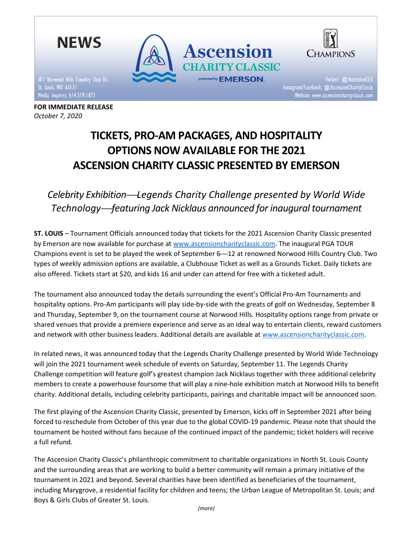

FOR IMMEDIATE RELEASE

October 7, 2020

Twitter: @ AscensionCCG Instagram/Facebook: @ AscensionCharityClassic

TICKETS, PRO-AM PACKAGES, AND HOSPITALITY OPTIONS NOW AVAILABLE FOR THE 2021 ASCENSION CHARITY CLASSIC PRESENTED BY EMERSON

# Celebrity Exhibition—Legends Charity Challenge presented by World Wide Technology-featuring Jack Nicklaus announced for inaugural tournament

ST. LOUIS – Tournament Officials announced today that tickets for the 2021 Ascension Charity Classic presented by Emerson are now available for purchase at www.ascensioncharityclassic.com. The inaugural PGA TOUR Champions event is set to be played the week of September 6-12 at renowned Norwood Hills Country Club. Two types of weekly admission options are available, a Clubhouse Ticket as well as a Grounds Ticket. Daily tickets are also offered. Tickets start at \$20, and kids 16 and under can attend for free with a ticketed adult.

The tournament also announced today the details surrounding the event's Official Pro-Am Tournaments and hospitality options. Pro-Am participants will play side-by-side with the greats of golf on Wednesday, September 8 and Thursday, September 9, on the tournament course at Norwood Hills. Hospitality options range from private or shared venues that provide a premiere experience and serve as an ideal way to entertain clients, reward customers and network with other business leaders. Additional details are available at www.ascensioncharityclassic.com.

In related news, it was announced today that the Legends Charity Challenge presented by World Wide Technology will join the 2021 tournament week schedule of events on Saturday, September 11. The Legends Charity Challenge competition will feature golf's greatest champion Jack Nicklaus together with three additional celebrity members to create a powerhouse foursome that will play a nine-hole exhibition match at Norwood Hills to benefit charity. Additional details, including celebrity participants, pairings and charitable impact will be announced soon.

The first playing of the Ascension Charity Classic, presented by Emerson, kicks off in September 2021 after being forced to reschedule from October of this year due to the global COVID-19 pandemic. Please note that should the tournament be hosted without fans because of the continued impact of the pandemic; ticket holders will receive a full refund.

The Ascension Charity Classic's philanthropic commitment to charitable organizations in North St. Louis County and the surrounding areas that are working to build a better community will remain a primary initiative of the tournament in 2021 and beyond. Several charities have been identified as beneficiaries of the tournament, including Marygrove, a residential facility for children and teens; the Urban League of Metropolitan St. Louis; and Boys & Girls Clubs of Greater St. Louis.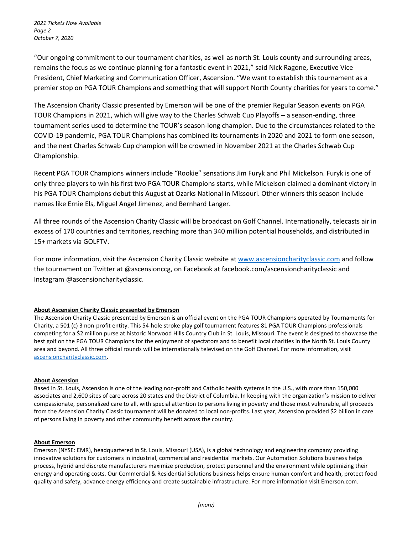"Our ongoing commitment to our tournament charities, as well as north St. Louis county and surrounding areas, remains the focus as we continue planning for a fantastic event in 2021," said Nick Ragone, Executive Vice President, Chief Marketing and Communication Officer, Ascension. "We want to establish this tournament as a premier stop on PGA TOUR Champions and something that will support North County charities for years to come."

The Ascension Charity Classic presented by Emerson will be one of the premier Regular Season events on PGA TOUR Champions in 2021, which will give way to the Charles Schwab Cup Playoffs – a season-ending, three tournament series used to determine the TOUR's season-long champion. Due to the circumstances related to the COVID-19 pandemic, PGA TOUR Champions has combined its tournaments in 2020 and 2021 to form one season, and the next Charles Schwab Cup champion will be crowned in November 2021 at the Charles Schwab Cup Championship.

Recent PGA TOUR Champions winners include "Rookie" sensations Jim Furyk and Phil Mickelson. Furyk is one of only three players to win his first two PGA TOUR Champions starts, while Mickelson claimed a dominant victory in his PGA TOUR Champions debut this August at Ozarks National in Missouri. Other winners this season include names like Ernie Els, Miguel Angel Jimenez, and Bernhard Langer.

All three rounds of the Ascension Charity Classic will be broadcast on Golf Channel. Internationally, telecasts air in excess of 170 countries and territories, reaching more than 340 million potential households, and distributed in 15+ markets via GOLFTV.

For more information, visit the Ascension Charity Classic website at www.ascensioncharityclassic.com and follow the tournament on Twitter at @ascensionccg, on Facebook at facebook.com/ascensioncharityclassic and Instagram @ascensioncharityclassic.

# About Ascension Charity Classic presented by Emerson

The Ascension Charity Classic presented by Emerson is an official event on the PGA TOUR Champions operated by Tournaments for Charity, a 501 (c) 3 non-profit entity. This 54-hole stroke play golf tournament features 81 PGA TOUR Champions professionals competing for a \$2 million purse at historic Norwood Hills Country Club in St. Louis, Missouri. The event is designed to showcase the best golf on the PGA TOUR Champions for the enjoyment of spectators and to benefit local charities in the North St. Louis County area and beyond. All three official rounds will be internationally televised on the Golf Channel. For more information, visit ascensioncharityclassic.com.

# About Ascension

Based in St. Louis, Ascension is one of the leading non-profit and Catholic health systems in the U.S., with more than 150,000 associates and 2,600 sites of care across 20 states and the District of Columbia. In keeping with the organization's mission to deliver compassionate, personalized care to all, with special attention to persons living in poverty and those most vulnerable, all proceeds from the Ascension Charity Classic tournament will be donated to local non-profits. Last year, Ascension provided \$2 billion in care of persons living in poverty and other community benefit across the country.

# About Emerson

Emerson (NYSE: EMR), headquartered in St. Louis, Missouri (USA), is a global technology and engineering company providing innovative solutions for customers in industrial, commercial and residential markets. Our Automation Solutions business helps process, hybrid and discrete manufacturers maximize production, protect personnel and the environment while optimizing their energy and operating costs. Our Commercial & Residential Solutions business helps ensure human comfort and health, protect food quality and safety, advance energy efficiency and create sustainable infrastructure. For more information visit Emerson.com.